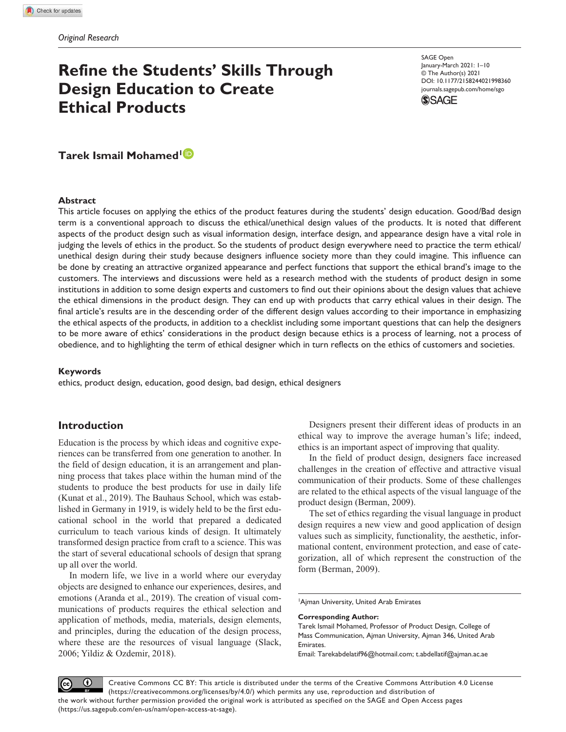# **Refine the Students' Skills Through Design Education to Create Ethical Products**

DOI: 10.1177/2158244021998360 SAGE Open January-March 2021: I-I0 © The Author(s) 2021 journals.sagepub.com/home/sgo



**Tarek Ismail Mohamed<sup>1</sup>**

#### **Abstract**

This article focuses on applying the ethics of the product features during the students' design education. Good/Bad design term is a conventional approach to discuss the ethical/unethical design values of the products. It is noted that different aspects of the product design such as visual information design, interface design, and appearance design have a vital role in judging the levels of ethics in the product. So the students of product design everywhere need to practice the term ethical/ unethical design during their study because designers influence society more than they could imagine. This influence can be done by creating an attractive organized appearance and perfect functions that support the ethical brand's image to the customers. The interviews and discussions were held as a research method with the students of product design in some institutions in addition to some design experts and customers to find out their opinions about the design values that achieve the ethical dimensions in the product design. They can end up with products that carry ethical values in their design. The final article's results are in the descending order of the different design values according to their importance in emphasizing the ethical aspects of the products, in addition to a checklist including some important questions that can help the designers to be more aware of ethics' considerations in the product design because ethics is a process of learning, not a process of obedience, and to highlighting the term of ethical designer which in turn reflects on the ethics of customers and societies.

#### **Keywords**

ethics, product design, education, good design, bad design, ethical designers

## **Introduction**

Education is the process by which ideas and cognitive experiences can be transferred from one generation to another. In the field of design education, it is an arrangement and planning process that takes place within the human mind of the students to produce the best products for use in daily life (Kunat et al., 2019). The Bauhaus School, which was established in Germany in 1919, is widely held to be the first educational school in the world that prepared a dedicated curriculum to teach various kinds of design. It ultimately transformed design practice from craft to a science. This was the start of several educational schools of design that sprang up all over the world.

In modern life, we live in a world where our everyday objects are designed to enhance our experiences, desires, and emotions (Aranda et al., 2019). The creation of visual communications of products requires the ethical selection and application of methods, media, materials, design elements, and principles, during the education of the design process, where these are the resources of visual language (Slack, 2006; Yildiz & Ozdemir, 2018).

Designers present their different ideas of products in an ethical way to improve the average human's life; indeed, ethics is an important aspect of improving that quality.

In the field of product design, designers face increased challenges in the creation of effective and attractive visual communication of their products. Some of these challenges are related to the ethical aspects of the visual language of the product design (Berman, 2009).

The set of ethics regarding the visual language in product design requires a new view and good application of design values such as simplicity, functionality, the aesthetic, informational content, environment protection, and ease of categorization, all of which represent the construction of the form (Berman, 2009).

<sup>1</sup>Ajman University, United Arab Emirates

**Corresponding Author:**

Email: Tarekabdelatif96@hotmail.com; t.abdellatif@ajman.ac.ae

Creative Commons CC BY: This article is distributed under the terms of the Creative Commons Attribution 4.0 License (https://creativecommons.org/licenses/by/4.0/) which permits any use, reproduction and distribution of the work without further permission provided the original work is attributed as specified on the SAGE and Open Access pages (https://us.sagepub.com/en-us/nam/open-access-at-sage).

Tarek Ismail Mohamed, Professor of Product Design, College of Mass Communication, Ajman University, Ajman 346, United Arab Emirates.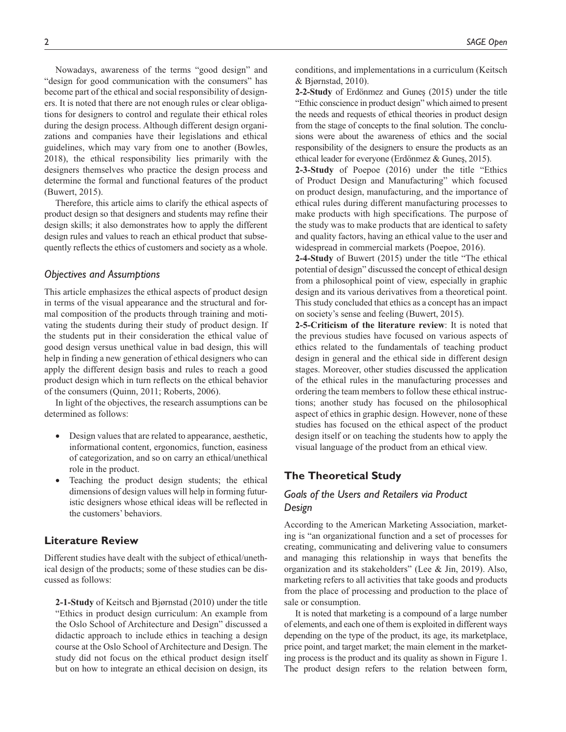Nowadays, awareness of the terms "good design" and "design for good communication with the consumers" has become part of the ethical and social responsibility of designers. It is noted that there are not enough rules or clear obligations for designers to control and regulate their ethical roles during the design process. Although different design organizations and companies have their legislations and ethical guidelines, which may vary from one to another (Bowles, 2018), the ethical responsibility lies primarily with the designers themselves who practice the design process and determine the formal and functional features of the product (Buwert, 2015).

Therefore, this article aims to clarify the ethical aspects of product design so that designers and students may refine their design skills; it also demonstrates how to apply the different design rules and values to reach an ethical product that subsequently reflects the ethics of customers and society as a whole.

#### *Objectives and Assumptions*

This article emphasizes the ethical aspects of product design in terms of the visual appearance and the structural and formal composition of the products through training and motivating the students during their study of product design. If the students put in their consideration the ethical value of good design versus unethical value in bad design, this will help in finding a new generation of ethical designers who can apply the different design basis and rules to reach a good product design which in turn reflects on the ethical behavior of the consumers (Quinn, 2011; Roberts, 2006).

In light of the objectives, the research assumptions can be determined as follows:

- Design values that are related to appearance, aesthetic, informational content, ergonomics, function, easiness of categorization, and so on carry an ethical/unethical role in the product.
- Teaching the product design students; the ethical dimensions of design values will help in forming futuristic designers whose ethical ideas will be reflected in the customers' behaviors.

### **Literature Review**

Different studies have dealt with the subject of ethical/unethical design of the products; some of these studies can be discussed as follows:

**2-1-Study** of Keitsch and Bjørnstad (2010) under the title "Ethics in product design curriculum: An example from the Oslo School of Architecture and Design" discussed a didactic approach to include ethics in teaching a design course at the Oslo School of Architecture and Design. The study did not focus on the ethical product design itself but on how to integrate an ethical decision on design, its

conditions, and implementations in a curriculum (Keitsch & Bjørnstad, 2010).

**2-2-Study** of Erdönmez and Guneş (2015) under the title "Ethic conscience in product design" which aimed to present the needs and requests of ethical theories in product design from the stage of concepts to the final solution. The conclusions were about the awareness of ethics and the social responsibility of the designers to ensure the products as an ethical leader for everyone (Erdönmez & Guneş, 2015).

**2-3-Study** of Poepoe (2016) under the title "Ethics of Product Design and Manufacturing" which focused on product design, manufacturing, and the importance of ethical rules during different manufacturing processes to make products with high specifications. The purpose of the study was to make products that are identical to safety and quality factors, having an ethical value to the user and widespread in commercial markets (Poepoe, 2016).

**2-4-Study** of Buwert (2015) under the title "The ethical potential of design" discussed the concept of ethical design from a philosophical point of view, especially in graphic design and its various derivatives from a theoretical point. This study concluded that ethics as a concept has an impact on society's sense and feeling (Buwert, 2015).

**2-5-Criticism of the literature review**: It is noted that the previous studies have focused on various aspects of ethics related to the fundamentals of teaching product design in general and the ethical side in different design stages. Moreover, other studies discussed the application of the ethical rules in the manufacturing processes and ordering the team members to follow these ethical instructions; another study has focused on the philosophical aspect of ethics in graphic design. However, none of these studies has focused on the ethical aspect of the product design itself or on teaching the students how to apply the visual language of the product from an ethical view.

## **The Theoretical Study**

# *Goals of the Users and Retailers via Product Design*

According to the American Marketing Association, marketing is "an organizational function and a set of processes for creating, communicating and delivering value to consumers and managing this relationship in ways that benefits the organization and its stakeholders" (Lee & Jin, 2019). Also, marketing refers to all activities that take goods and products from the place of processing and production to the place of sale or consumption.

It is noted that marketing is a compound of a large number of elements, and each one of them is exploited in different ways depending on the type of the product, its age, its marketplace, price point, and target market; the main element in the marketing process is the product and its quality as shown in Figure 1. The product design refers to the relation between form,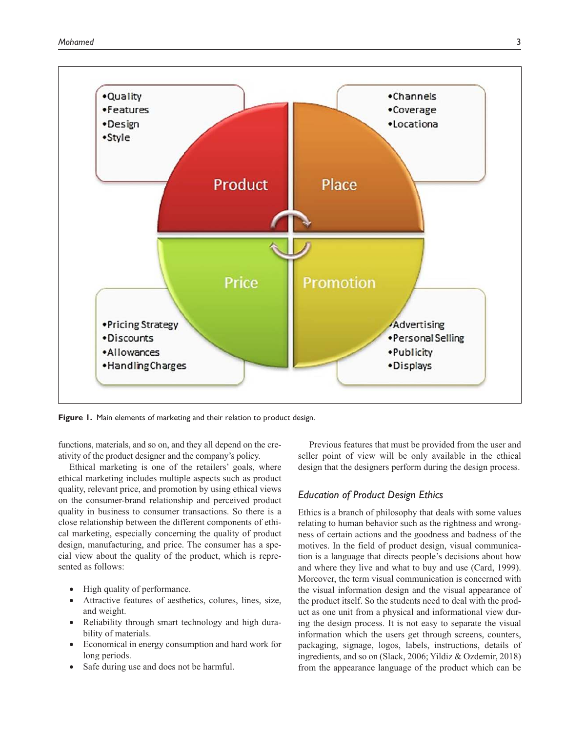

**Figure 1.** Main elements of marketing and their relation to product design.

functions, materials, and so on, and they all depend on the creativity of the product designer and the company's policy.

Ethical marketing is one of the retailers' goals, where ethical marketing includes multiple aspects such as product quality, relevant price, and promotion by using ethical views on the consumer-brand relationship and perceived product quality in business to consumer transactions. So there is a close relationship between the different components of ethical marketing, especially concerning the quality of product design, manufacturing, and price. The consumer has a special view about the quality of the product, which is represented as follows:

- High quality of performance.
- •• Attractive features of aesthetics, colures, lines, size, and weight.
- Reliability through smart technology and high durability of materials.
- •• Economical in energy consumption and hard work for long periods.
- Safe during use and does not be harmful.

Previous features that must be provided from the user and seller point of view will be only available in the ethical design that the designers perform during the design process.

## *Education of Product Design Ethics*

Ethics is a branch of philosophy that deals with some values relating to human behavior such as the rightness and wrongness of certain actions and the goodness and badness of the motives. In the field of product design, visual communication is a language that directs people's decisions about how and where they live and what to buy and use (Card, 1999). Moreover, the term visual communication is concerned with the visual information design and the visual appearance of the product itself. So the students need to deal with the product as one unit from a physical and informational view during the design process. It is not easy to separate the visual information which the users get through screens, counters, packaging, signage, logos, labels, instructions, details of ingredients, and so on (Slack, 2006; Yildiz & Ozdemir, 2018) from the appearance language of the product which can be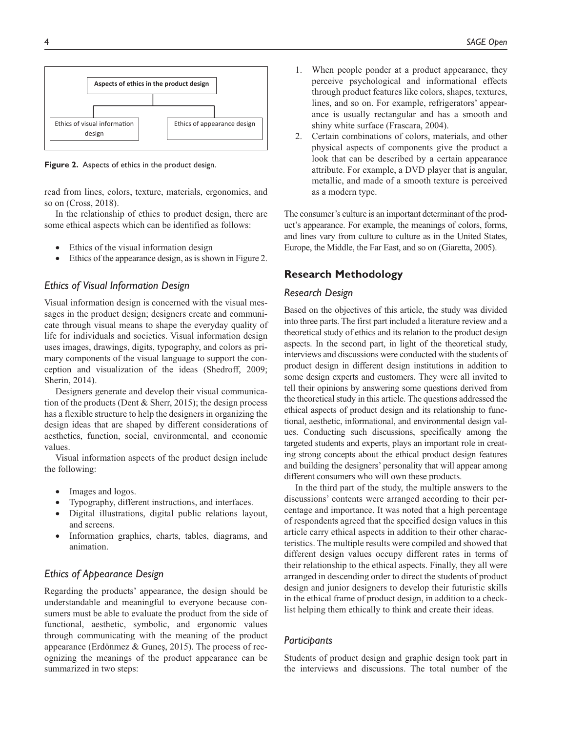

**Figure 2.** Aspects of ethics in the product design.

read from lines, colors, texture, materials, ergonomics, and so on (Cross, 2018).

In the relationship of ethics to product design, there are some ethical aspects which can be identified as follows:

- Ethics of the visual information design
- Ethics of the appearance design, as is shown in Figure 2.

## *Ethics of Visual Information Design*

Visual information design is concerned with the visual messages in the product design; designers create and communicate through visual means to shape the everyday quality of life for individuals and societies. Visual information design uses images, drawings, digits, typography, and colors as primary components of the visual language to support the conception and visualization of the ideas (Shedroff, 2009; Sherin, 2014).

Designers generate and develop their visual communication of the products (Dent & Sherr, 2015); the design process has a flexible structure to help the designers in organizing the design ideas that are shaped by different considerations of aesthetics, function, social, environmental, and economic values.

Visual information aspects of the product design include the following:

- Images and logos.
- Typography, different instructions, and interfaces.
- •• Digital illustrations, digital public relations layout, and screens.
- •• Information graphics, charts, tables, diagrams, and animation.

## *Ethics of Appearance Design*

Regarding the products' appearance, the design should be understandable and meaningful to everyone because consumers must be able to evaluate the product from the side of functional, aesthetic, symbolic, and ergonomic values through communicating with the meaning of the product appearance (Erdönmez & Guneş, 2015). The process of recognizing the meanings of the product appearance can be summarized in two steps:

- 1. When people ponder at a product appearance, they perceive psychological and informational effects through product features like colors, shapes, textures, lines, and so on. For example, refrigerators' appearance is usually rectangular and has a smooth and shiny white surface (Frascara, 2004).
- 2. Certain combinations of colors, materials, and other physical aspects of components give the product a look that can be described by a certain appearance attribute. For example, a DVD player that is angular, metallic, and made of a smooth texture is perceived as a modern type.

The consumer's culture is an important determinant of the product's appearance. For example, the meanings of colors, forms, and lines vary from culture to culture as in the United States, Europe, the Middle, the Far East, and so on (Giaretta, 2005).

## **Research Methodology**

#### *Research Design*

Based on the objectives of this article, the study was divided into three parts. The first part included a literature review and a theoretical study of ethics and its relation to the product design aspects. In the second part, in light of the theoretical study, interviews and discussions were conducted with the students of product design in different design institutions in addition to some design experts and customers. They were all invited to tell their opinions by answering some questions derived from the theoretical study in this article. The questions addressed the ethical aspects of product design and its relationship to functional, aesthetic, informational, and environmental design values. Conducting such discussions, specifically among the targeted students and experts, plays an important role in creating strong concepts about the ethical product design features and building the designers' personality that will appear among different consumers who will own these products.

In the third part of the study, the multiple answers to the discussions' contents were arranged according to their percentage and importance. It was noted that a high percentage of respondents agreed that the specified design values in this article carry ethical aspects in addition to their other characteristics. The multiple results were compiled and showed that different design values occupy different rates in terms of their relationship to the ethical aspects. Finally, they all were arranged in descending order to direct the students of product design and junior designers to develop their futuristic skills in the ethical frame of product design, in addition to a checklist helping them ethically to think and create their ideas.

### *Participants*

Students of product design and graphic design took part in the interviews and discussions. The total number of the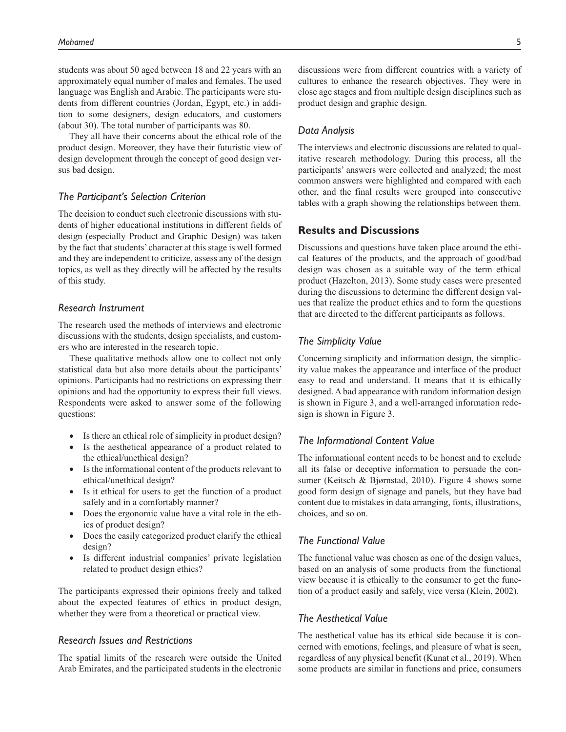students was about 50 aged between 18 and 22 years with an approximately equal number of males and females. The used language was English and Arabic. The participants were students from different countries (Jordan, Egypt, etc.) in addition to some designers, design educators, and customers (about 30). The total number of participants was 80.

They all have their concerns about the ethical role of the product design. Moreover, they have their futuristic view of design development through the concept of good design versus bad design.

## *The Participant's Selection Criterion*

The decision to conduct such electronic discussions with students of higher educational institutions in different fields of design (especially Product and Graphic Design) was taken by the fact that students' character at this stage is well formed and they are independent to criticize, assess any of the design topics, as well as they directly will be affected by the results of this study.

## *Research Instrument*

The research used the methods of interviews and electronic discussions with the students, design specialists, and customers who are interested in the research topic.

These qualitative methods allow one to collect not only statistical data but also more details about the participants' opinions. Participants had no restrictions on expressing their opinions and had the opportunity to express their full views. Respondents were asked to answer some of the following questions:

- Is there an ethical role of simplicity in product design?
- Is the aesthetical appearance of a product related to the ethical/unethical design?
- Is the informational content of the products relevant to ethical/unethical design?
- Is it ethical for users to get the function of a product safely and in a comfortably manner?
- Does the ergonomic value have a vital role in the ethics of product design?
- Does the easily categorized product clarify the ethical design?
- Is different industrial companies' private legislation related to product design ethics?

The participants expressed their opinions freely and talked about the expected features of ethics in product design, whether they were from a theoretical or practical view.

# *Research Issues and Restrictions*

The spatial limits of the research were outside the United Arab Emirates, and the participated students in the electronic discussions were from different countries with a variety of cultures to enhance the research objectives. They were in close age stages and from multiple design disciplines such as product design and graphic design.

### *Data Analysis*

The interviews and electronic discussions are related to qualitative research methodology. During this process, all the participants' answers were collected and analyzed; the most common answers were highlighted and compared with each other, and the final results were grouped into consecutive tables with a graph showing the relationships between them.

## **Results and Discussions**

Discussions and questions have taken place around the ethical features of the products, and the approach of good/bad design was chosen as a suitable way of the term ethical product (Hazelton, 2013). Some study cases were presented during the discussions to determine the different design values that realize the product ethics and to form the questions that are directed to the different participants as follows.

### *The Simplicity Value*

Concerning simplicity and information design, the simplicity value makes the appearance and interface of the product easy to read and understand. It means that it is ethically designed. A bad appearance with random information design is shown in Figure 3, and a well-arranged information redesign is shown in Figure 3.

## *The Informational Content Value*

The informational content needs to be honest and to exclude all its false or deceptive information to persuade the consumer (Keitsch & Bjørnstad, 2010). Figure 4 shows some good form design of signage and panels, but they have bad content due to mistakes in data arranging, fonts, illustrations, choices, and so on.

# *The Functional Value*

The functional value was chosen as one of the design values, based on an analysis of some products from the functional view because it is ethically to the consumer to get the function of a product easily and safely, vice versa (Klein, 2002).

#### *The Aesthetical Value*

The aesthetical value has its ethical side because it is concerned with emotions, feelings, and pleasure of what is seen, regardless of any physical benefit (Kunat et al., 2019). When some products are similar in functions and price, consumers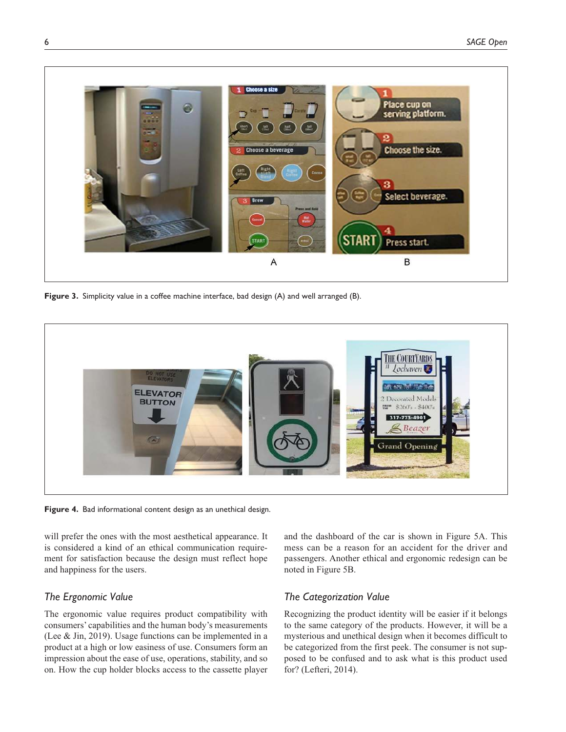

Figure 3. Simplicity value in a coffee machine interface, bad design (A) and well arranged (B).



**Figure 4.** Bad informational content design as an unethical design.

will prefer the ones with the most aesthetical appearance. It is considered a kind of an ethical communication requirement for satisfaction because the design must reflect hope and happiness for the users.

## *The Ergonomic Value*

The ergonomic value requires product compatibility with consumers' capabilities and the human body's measurements (Lee & Jin, 2019). Usage functions can be implemented in a product at a high or low easiness of use. Consumers form an impression about the ease of use, operations, stability, and so on. How the cup holder blocks access to the cassette player

and the dashboard of the car is shown in Figure 5A. This mess can be a reason for an accident for the driver and passengers. Another ethical and ergonomic redesign can be noted in Figure 5B.

# *The Categorization Value*

Recognizing the product identity will be easier if it belongs to the same category of the products. However, it will be a mysterious and unethical design when it becomes difficult to be categorized from the first peek. The consumer is not supposed to be confused and to ask what is this product used for? (Lefteri, 2014).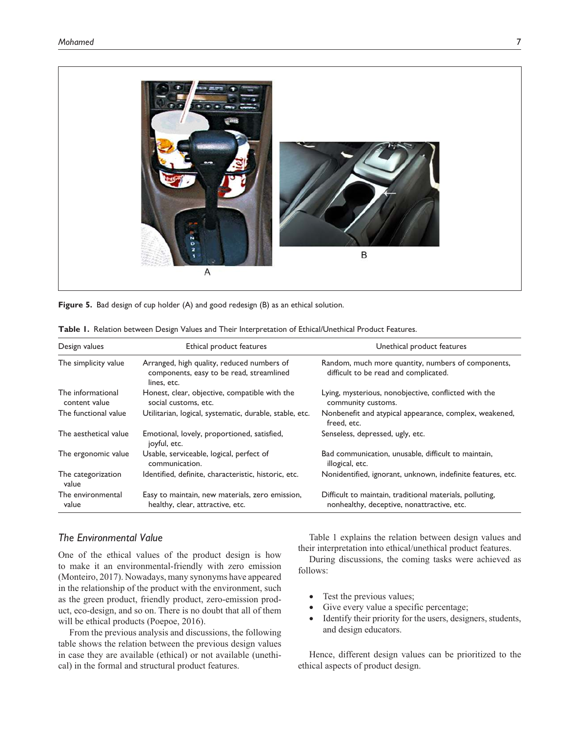

**Figure 5.** Bad design of cup holder (A) and good redesign (B) as an ethical solution.

| Design values                      | Ethical product features                                                                              | Unethical product features<br>Random, much more quantity, numbers of components,<br>difficult to be read and complicated. |  |  |
|------------------------------------|-------------------------------------------------------------------------------------------------------|---------------------------------------------------------------------------------------------------------------------------|--|--|
| The simplicity value               | Arranged, high quality, reduced numbers of<br>components, easy to be read, streamlined<br>lines, etc. |                                                                                                                           |  |  |
| The informational<br>content value | Honest, clear, objective, compatible with the<br>social customs, etc.                                 | Lying, mysterious, nonobjective, conflicted with the<br>community customs.                                                |  |  |
| The functional value               | Utilitarian, logical, systematic, durable, stable, etc.                                               | Nonbenefit and atypical appearance, complex, weakened,<br>freed, etc.                                                     |  |  |
| The aesthetical value              | Emotional, lovely, proportioned, satisfied,<br>joyful, etc.                                           | Senseless, depressed, ugly, etc.                                                                                          |  |  |
| The ergonomic value                | Usable, serviceable, logical, perfect of<br>communication.                                            | Bad communication, unusable, difficult to maintain,<br>illogical, etc.                                                    |  |  |
| The categorization<br>value        | Identified, definite, characteristic, historic, etc.                                                  | Nonidentified, ignorant, unknown, indefinite features, etc.                                                               |  |  |
| The environmental<br>value         | Easy to maintain, new materials, zero emission,<br>healthy, clear, attractive, etc.                   | Difficult to maintain, traditional materials, polluting,<br>nonhealthy, deceptive, nonattractive, etc.                    |  |  |

| Table I. Relation between Design Values and Their Interpretation of Ethical/Unethical Product Features. |  |
|---------------------------------------------------------------------------------------------------------|--|
|---------------------------------------------------------------------------------------------------------|--|

## *The Environmental Value*

One of the ethical values of the product design is how to make it an environmental-friendly with zero emission (Monteiro, 2017). Nowadays, many synonyms have appeared in the relationship of the product with the environment, such as the green product, friendly product, zero-emission product, eco-design, and so on. There is no doubt that all of them will be ethical products (Poepoe, 2016).

From the previous analysis and discussions, the following table shows the relation between the previous design values in case they are available (ethical) or not available (unethical) in the formal and structural product features.

Table 1 explains the relation between design values and their interpretation into ethical/unethical product features.

During discussions, the coming tasks were achieved as follows:

- Test the previous values;
- Give every value a specific percentage;
- Identify their priority for the users, designers, students, and design educators.

Hence, different design values can be prioritized to the ethical aspects of product design.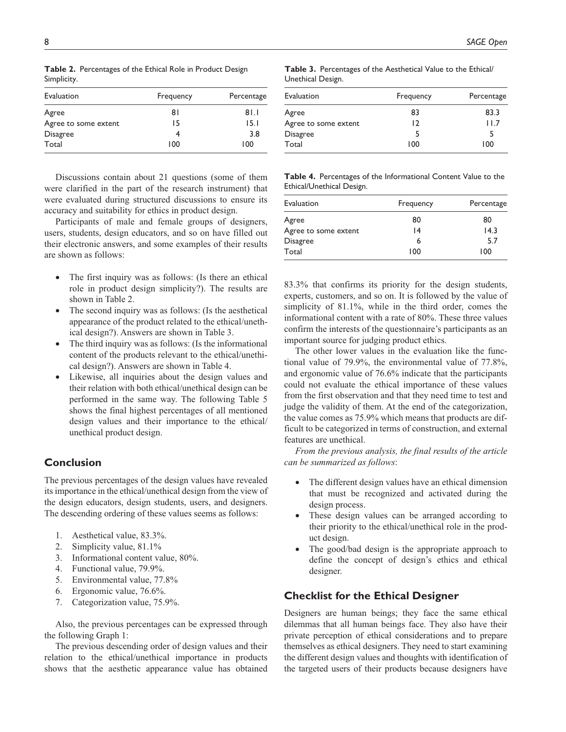| Evaluation                    | Frequency | Percentage   |  |
|-------------------------------|-----------|--------------|--|
|                               |           |              |  |
| Agree<br>Agree to some extent | 81<br>15  | 81.1<br>15.1 |  |
| <b>Disagree</b>               |           | 3.8          |  |
| Total                         | 100       | 100          |  |

**Table 2.** Percentages of the Ethical Role in Product Design Simplicity.

Discussions contain about 21 questions (some of them were clarified in the part of the research instrument) that were evaluated during structured discussions to ensure its accuracy and suitability for ethics in product design.

Participants of male and female groups of designers, users, students, design educators, and so on have filled out their electronic answers, and some examples of their results are shown as follows:

- The first inquiry was as follows: (Is there an ethical role in product design simplicity?). The results are shown in Table 2.
- The second inquiry was as follows: (Is the aesthetical appearance of the product related to the ethical/unethical design?). Answers are shown in Table 3.
- The third inquiry was as follows: (Is the informational content of the products relevant to the ethical/unethical design?). Answers are shown in Table 4.
- •• Likewise, all inquiries about the design values and their relation with both ethical/unethical design can be performed in the same way. The following Table 5 shows the final highest percentages of all mentioned design values and their importance to the ethical/ unethical product design.

# **Conclusion**

The previous percentages of the design values have revealed its importance in the ethical/unethical design from the view of the design educators, design students, users, and designers. The descending ordering of these values seems as follows:

- 1. Aesthetical value, 83.3%.
- 2. Simplicity value, 81.1%
- 3. Informational content value, 80%.
- 4. Functional value, 79.9%.
- 5. Environmental value, 77.8%
- 6. Ergonomic value, 76.6%.
- 7. Categorization value, 75.9%.

Also, the previous percentages can be expressed through the following Graph 1:

The previous descending order of design values and their relation to the ethical/unethical importance in products shows that the aesthetic appearance value has obtained

**Table 3.** Percentages of the Aesthetical Value to the Ethical/ Unethical Design.

| Evaluation           | Frequency | Percentage |  |
|----------------------|-----------|------------|--|
| Agree                | 83        | 83.3       |  |
| Agree to some extent | 12        | 11.7       |  |
| <b>Disagree</b>      | 5         |            |  |
| Total                | 100       | 100        |  |

**Table 4.** Percentages of the Informational Content Value to the Ethical/Unethical Design.

| Evaluation           | Frequency | Percentage |  |
|----------------------|-----------|------------|--|
| Agree                | 80        | 80         |  |
| Agree to some extent | 14        | 14.3       |  |
| <b>Disagree</b>      | 6         | 5.7        |  |
| Total                | 100       | 100        |  |

83.3% that confirms its priority for the design students, experts, customers, and so on. It is followed by the value of simplicity of 81.1%, while in the third order, comes the informational content with a rate of 80%. These three values confirm the interests of the questionnaire's participants as an important source for judging product ethics.

The other lower values in the evaluation like the functional value of 79.9%, the environmental value of 77.8%, and ergonomic value of 76.6% indicate that the participants could not evaluate the ethical importance of these values from the first observation and that they need time to test and judge the validity of them. At the end of the categorization, the value comes as 75.9% which means that products are difficult to be categorized in terms of construction, and external features are unethical.

*From the previous analysis, the final results of the article can be summarized as follows*:

- The different design values have an ethical dimension that must be recognized and activated during the design process.
- These design values can be arranged according to their priority to the ethical/unethical role in the product design.
- The good/bad design is the appropriate approach to define the concept of design's ethics and ethical designer.

## **Checklist for the Ethical Designer**

Designers are human beings; they face the same ethical dilemmas that all human beings face. They also have their private perception of ethical considerations and to prepare themselves as ethical designers. They need to start examining the different design values and thoughts with identification of the targeted users of their products because designers have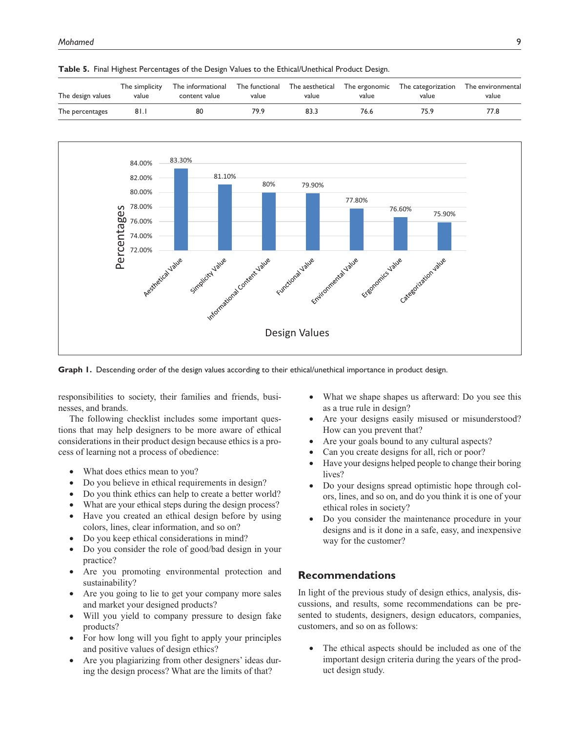| The design values | The simplicity | The informational | The functional | The aesthetical | The ergonomic | The categorization | The environmental |
|-------------------|----------------|-------------------|----------------|-----------------|---------------|--------------------|-------------------|
|                   | value          | content value     | value          | value           | value         | value              | value             |
| The percentages   | 81.I           | 80                | 79.9           | 83.3            | 76.6          | 75.9               | 77.8              |





**Graph 1.** Descending order of the design values according to their ethical/unethical importance in product design.

responsibilities to society, their families and friends, businesses, and brands.

The following checklist includes some important questions that may help designers to be more aware of ethical considerations in their product design because ethics is a process of learning not a process of obedience:

- What does ethics mean to you?
- Do you believe in ethical requirements in design?
- Do you think ethics can help to create a better world?
- What are your ethical steps during the design process?
- Have you created an ethical design before by using colors, lines, clear information, and so on?
- Do you keep ethical considerations in mind?
- Do you consider the role of good/bad design in your practice?
- Are you promoting environmental protection and sustainability?
- Are you going to lie to get your company more sales and market your designed products?
- Will you yield to company pressure to design fake products?
- For how long will you fight to apply your principles and positive values of design ethics?
- Are you plagiarizing from other designers' ideas during the design process? What are the limits of that?
- What we shape shapes us afterward: Do you see this as a true rule in design?
- Are your designs easily misused or misunderstood? How can you prevent that?
- Are your goals bound to any cultural aspects?
- Can you create designs for all, rich or poor?
- Have your designs helped people to change their boring lives?
- Do your designs spread optimistic hope through colors, lines, and so on, and do you think it is one of your ethical roles in society?
- Do you consider the maintenance procedure in your designs and is it done in a safe, easy, and inexpensive way for the customer?

## **Recommendations**

In light of the previous study of design ethics, analysis, discussions, and results, some recommendations can be presented to students, designers, design educators, companies, customers, and so on as follows:

• The ethical aspects should be included as one of the important design criteria during the years of the product design study.